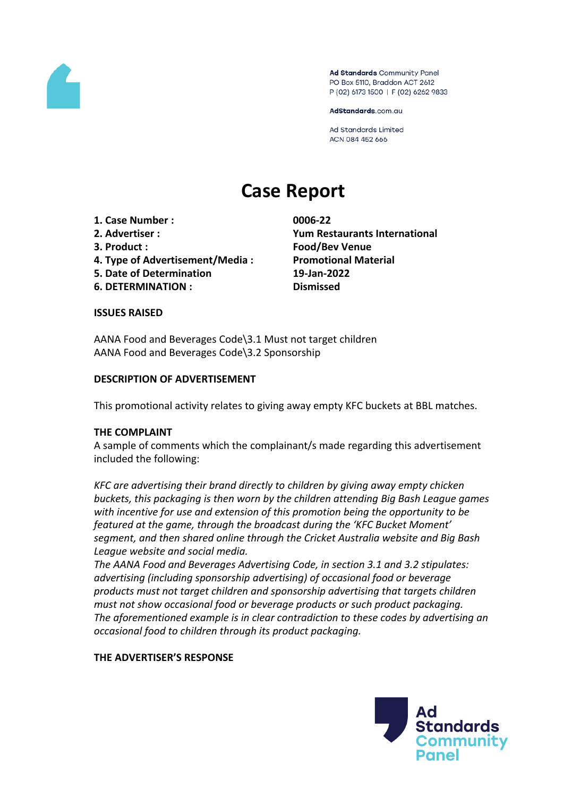

Ad Standards Community Panel PO Box 5110, Braddon ACT 2612 P (02) 6173 1500 | F (02) 6262 9833

AdStandards.com.au

Ad Standards Limited ACN 084 452 666

# **Case Report**

- **1. Case Number : 0006-22**
- 
- 
- **4. Type of Advertisement/Media : Promotional Material**
- **5. Date of Determination 19-Jan-2022**
- **6. DETERMINATION : Dismissed**

**2. Advertiser : Yum Restaurants International 3. Product : Food/Bev Venue**

## **ISSUES RAISED**

AANA Food and Beverages Code\3.1 Must not target children AANA Food and Beverages Code\3.2 Sponsorship

## **DESCRIPTION OF ADVERTISEMENT**

This promotional activity relates to giving away empty KFC buckets at BBL matches.

## **THE COMPLAINT**

A sample of comments which the complainant/s made regarding this advertisement included the following:

*KFC are advertising their brand directly to children by giving away empty chicken buckets, this packaging is then worn by the children attending Big Bash League games with incentive for use and extension of this promotion being the opportunity to be featured at the game, through the broadcast during the 'KFC Bucket Moment' segment, and then shared online through the Cricket Australia website and Big Bash League website and social media.*

*The AANA Food and Beverages Advertising Code, in section 3.1 and 3.2 stipulates: advertising (including sponsorship advertising) of occasional food or beverage products must not target children and sponsorship advertising that targets children must not show occasional food or beverage products or such product packaging. The aforementioned example is in clear contradiction to these codes by advertising an occasional food to children through its product packaging.*

## **THE ADVERTISER'S RESPONSE**

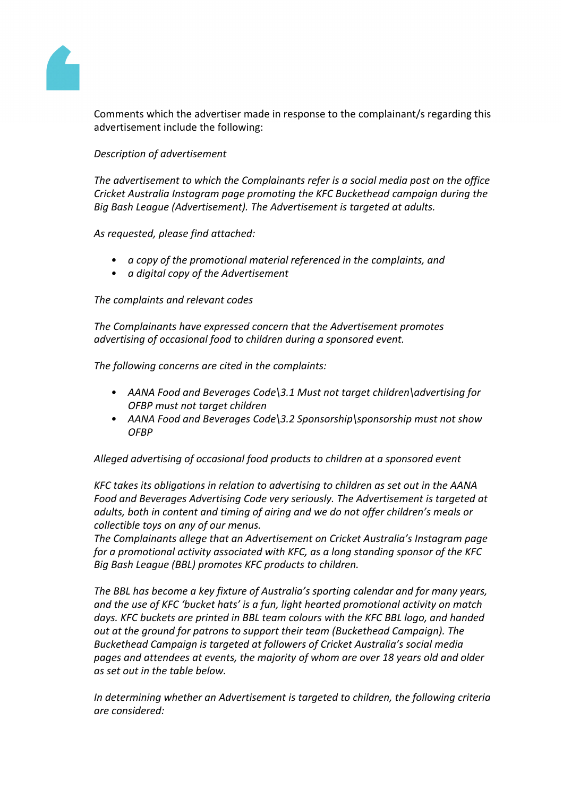

Comments which the advertiser made in response to the complainant/s regarding this advertisement include the following:

# *Description of advertisement*

*The advertisement to which the Complainants refer is a social media post on the office Cricket Australia Instagram page promoting the KFC Buckethead campaign during the Big Bash League (Advertisement). The Advertisement is targeted at adults.*

*As requested, please find attached:*

- *• a copy of the promotional material referenced in the complaints, and*
- *• a digital copy of the Advertisement*

# *The complaints and relevant codes*

*The Complainants have expressed concern that the Advertisement promotes advertising of occasional food to children during a sponsored event.* 

*The following concerns are cited in the complaints:*

- *• AANA Food and Beverages Code\3.1 Must not target children\advertising for OFBP must not target children*
- *• AANA Food and Beverages Code\3.2 Sponsorship\sponsorship must not show OFBP*

*Alleged advertising of occasional food products to children at a sponsored event*

*KFC takes its obligations in relation to advertising to children as set out in the AANA Food and Beverages Advertising Code very seriously. The Advertisement is targeted at adults, both in content and timing of airing and we do not offer children's meals or collectible toys on any of our menus.*

*The Complainants allege that an Advertisement on Cricket Australia's Instagram page for a promotional activity associated with KFC, as a long standing sponsor of the KFC Big Bash League (BBL) promotes KFC products to children.*

*The BBL has become a key fixture of Australia's sporting calendar and for many years, and the use of KFC 'bucket hats' is a fun, light hearted promotional activity on match days. KFC buckets are printed in BBL team colours with the KFC BBL logo, and handed out at the ground for patrons to support their team (Buckethead Campaign). The Buckethead Campaign is targeted at followers of Cricket Australia's social media pages and attendees at events, the majority of whom are over 18 years old and older as set out in the table below.* 

*In determining whether an Advertisement is targeted to children, the following criteria are considered:*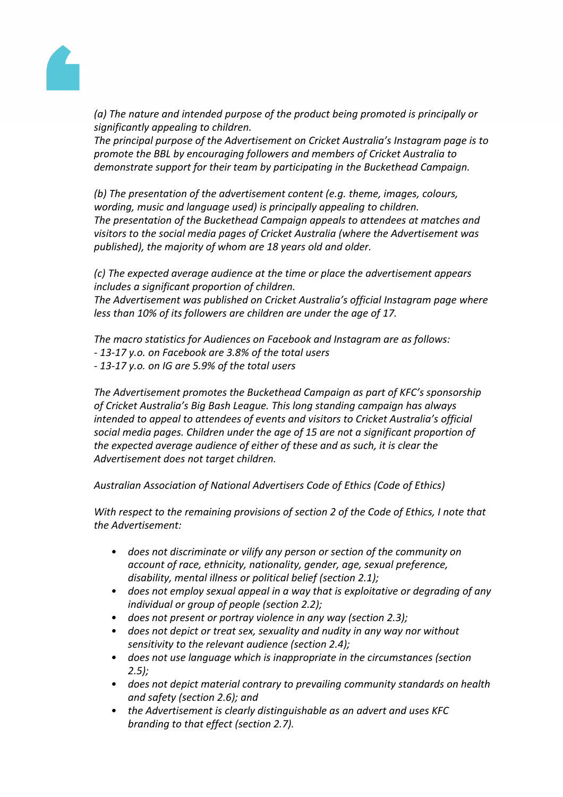

*(a) The nature and intended purpose of the product being promoted is principally or significantly appealing to children.*

*The principal purpose of the Advertisement on Cricket Australia's Instagram page is to promote the BBL by encouraging followers and members of Cricket Australia to demonstrate support for their team by participating in the Buckethead Campaign.* 

*(b) The presentation of the advertisement content (e.g. theme, images, colours, wording, music and language used) is principally appealing to children. The presentation of the Buckethead Campaign appeals to attendees at matches and visitors to the social media pages of Cricket Australia (where the Advertisement was published), the majority of whom are 18 years old and older.* 

*(c) The expected average audience at the time or place the advertisement appears includes a significant proportion of children.*

*The Advertisement was published on Cricket Australia's official Instagram page where less than 10% of its followers are children are under the age of 17.*

*The macro statistics for Audiences on Facebook and Instagram are as follows: - 13-17 y.o. on Facebook are 3.8% of the total users - 13-17 y.o. on IG are 5.9% of the total users*

*The Advertisement promotes the Buckethead Campaign as part of KFC's sponsorship of Cricket Australia's Big Bash League. This long standing campaign has always intended to appeal to attendees of events and visitors to Cricket Australia's official social media pages. Children under the age of 15 are not a significant proportion of the expected average audience of either of these and as such, it is clear the Advertisement does not target children.* 

*Australian Association of National Advertisers Code of Ethics (Code of Ethics)*

*With respect to the remaining provisions of section 2 of the Code of Ethics, I note that the Advertisement:*

- *• does not discriminate or vilify any person or section of the community on account of race, ethnicity, nationality, gender, age, sexual preference, disability, mental illness or political belief (section 2.1);*
- *• does not employ sexual appeal in a way that is exploitative or degrading of any individual or group of people (section 2.2);*
- *• does not present or portray violence in any way (section 2.3);*
- *• does not depict or treat sex, sexuality and nudity in any way nor without sensitivity to the relevant audience (section 2.4);*
- *• does not use language which is inappropriate in the circumstances (section 2.5);*
- *• does not depict material contrary to prevailing community standards on health and safety (section 2.6); and*
- *• the Advertisement is clearly distinguishable as an advert and uses KFC branding to that effect (section 2.7).*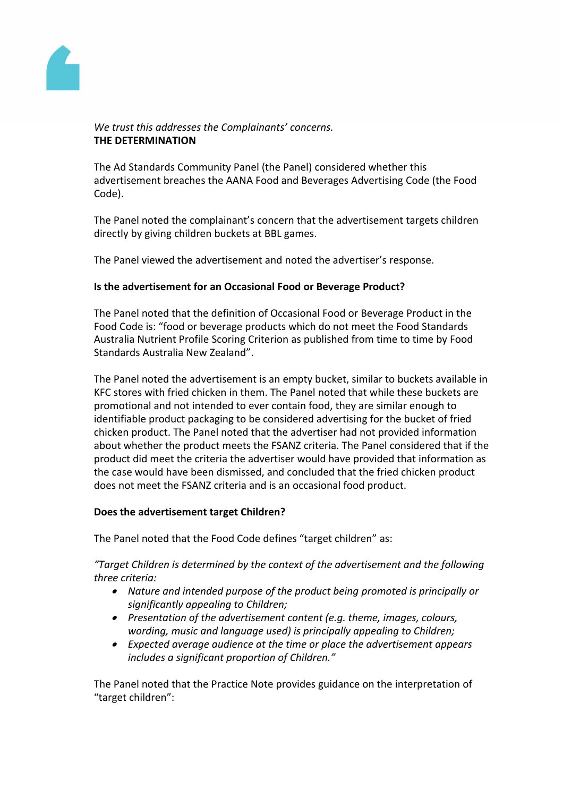

# *We trust this addresses the Complainants' concerns.* **THE DETERMINATION**

The Ad Standards Community Panel (the Panel) considered whether this advertisement breaches the AANA Food and Beverages Advertising Code (the Food Code).

The Panel noted the complainant's concern that the advertisement targets children directly by giving children buckets at BBL games.

The Panel viewed the advertisement and noted the advertiser's response.

# **Is the advertisement for an Occasional Food or Beverage Product?**

The Panel noted that the definition of Occasional Food or Beverage Product in the Food Code is: "food or beverage products which do not meet the Food Standards Australia Nutrient Profile Scoring Criterion as published from time to time by Food Standards Australia New Zealand".

The Panel noted the advertisement is an empty bucket, similar to buckets available in KFC stores with fried chicken in them. The Panel noted that while these buckets are promotional and not intended to ever contain food, they are similar enough to identifiable product packaging to be considered advertising for the bucket of fried chicken product. The Panel noted that the advertiser had not provided information about whether the product meets the FSANZ criteria. The Panel considered that if the product did meet the criteria the advertiser would have provided that information as the case would have been dismissed, and concluded that the fried chicken product does not meet the FSANZ criteria and is an occasional food product.

## **Does the advertisement target Children?**

The Panel noted that the Food Code defines "target children" as:

*"Target Children is determined by the context of the advertisement and the following three criteria:*

- *Nature and intended purpose of the product being promoted is principally or significantly appealing to Children;*
- *Presentation of the advertisement content (e.g. theme, images, colours, wording, music and language used) is principally appealing to Children;*
- *Expected average audience at the time or place the advertisement appears includes a significant proportion of Children."*

The Panel noted that the Practice Note provides guidance on the interpretation of "target children":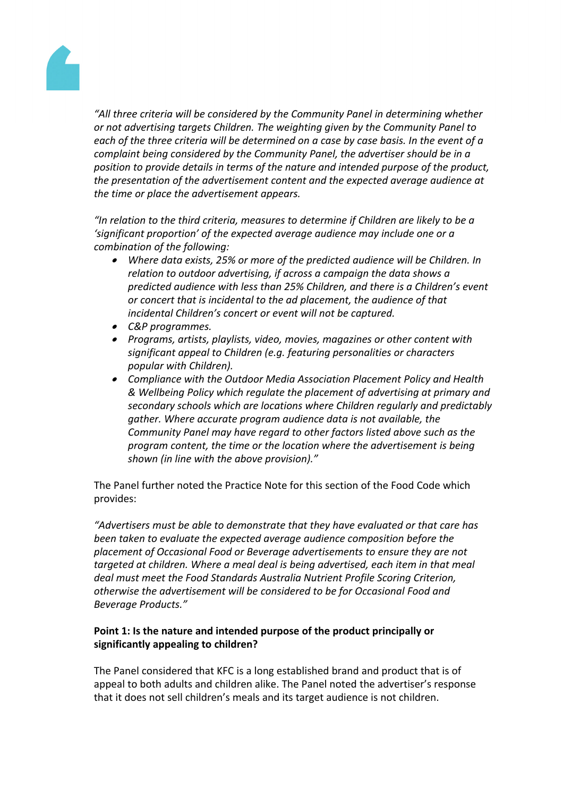

*"All three criteria will be considered by the Community Panel in determining whether or not advertising targets Children. The weighting given by the Community Panel to each of the three criteria will be determined on a case by case basis. In the event of a complaint being considered by the Community Panel, the advertiser should be in a position to provide details in terms of the nature and intended purpose of the product, the presentation of the advertisement content and the expected average audience at the time or place the advertisement appears.*

*"In relation to the third criteria, measures to determine if Children are likely to be a 'significant proportion' of the expected average audience may include one or a combination of the following:*

- *Where data exists, 25% or more of the predicted audience will be Children. In relation to outdoor advertising, if across a campaign the data shows a predicted audience with less than 25% Children, and there is a Children's event or concert that is incidental to the ad placement, the audience of that incidental Children's concert or event will not be captured.*
- *C&P programmes.*
- *Programs, artists, playlists, video, movies, magazines or other content with significant appeal to Children (e.g. featuring personalities or characters popular with Children).*
- *Compliance with the Outdoor Media Association Placement Policy and Health & Wellbeing Policy which regulate the placement of advertising at primary and secondary schools which are locations where Children regularly and predictably gather. Where accurate program audience data is not available, the Community Panel may have regard to other factors listed above such as the program content, the time or the location where the advertisement is being shown (in line with the above provision)."*

The Panel further noted the Practice Note for this section of the Food Code which provides:

*"Advertisers must be able to demonstrate that they have evaluated or that care has been taken to evaluate the expected average audience composition before the placement of Occasional Food or Beverage advertisements to ensure they are not targeted at children. Where a meal deal is being advertised, each item in that meal deal must meet the Food Standards Australia Nutrient Profile Scoring Criterion, otherwise the advertisement will be considered to be for Occasional Food and Beverage Products."*

# **Point 1: Is the nature and intended purpose of the product principally or significantly appealing to children?**

The Panel considered that KFC is a long established brand and product that is of appeal to both adults and children alike. The Panel noted the advertiser's response that it does not sell children's meals and its target audience is not children.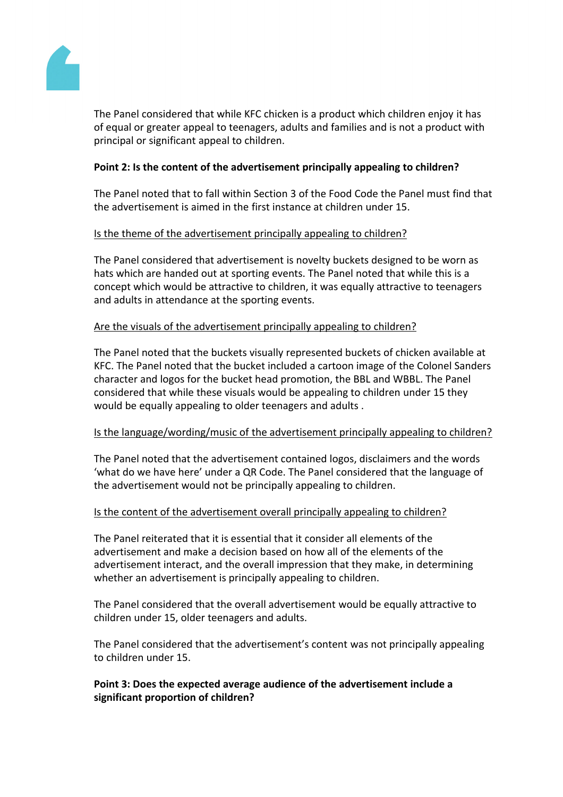

The Panel considered that while KFC chicken is a product which children enjoy it has of equal or greater appeal to teenagers, adults and families and is not a product with principal or significant appeal to children.

# **Point 2: Is the content of the advertisement principally appealing to children?**

The Panel noted that to fall within Section 3 of the Food Code the Panel must find that the advertisement is aimed in the first instance at children under 15.

# Is the theme of the advertisement principally appealing to children?

The Panel considered that advertisement is novelty buckets designed to be worn as hats which are handed out at sporting events. The Panel noted that while this is a concept which would be attractive to children, it was equally attractive to teenagers and adults in attendance at the sporting events.

# Are the visuals of the advertisement principally appealing to children?

The Panel noted that the buckets visually represented buckets of chicken available at KFC. The Panel noted that the bucket included a cartoon image of the Colonel Sanders character and logos for the bucket head promotion, the BBL and WBBL. The Panel considered that while these visuals would be appealing to children under 15 they would be equally appealing to older teenagers and adults .

## Is the language/wording/music of the advertisement principally appealing to children?

The Panel noted that the advertisement contained logos, disclaimers and the words 'what do we have here' under a QR Code. The Panel considered that the language of the advertisement would not be principally appealing to children.

## Is the content of the advertisement overall principally appealing to children?

The Panel reiterated that it is essential that it consider all elements of the advertisement and make a decision based on how all of the elements of the advertisement interact, and the overall impression that they make, in determining whether an advertisement is principally appealing to children.

The Panel considered that the overall advertisement would be equally attractive to children under 15, older teenagers and adults.

The Panel considered that the advertisement's content was not principally appealing to children under 15.

# **Point 3: Does the expected average audience of the advertisement include a significant proportion of children?**